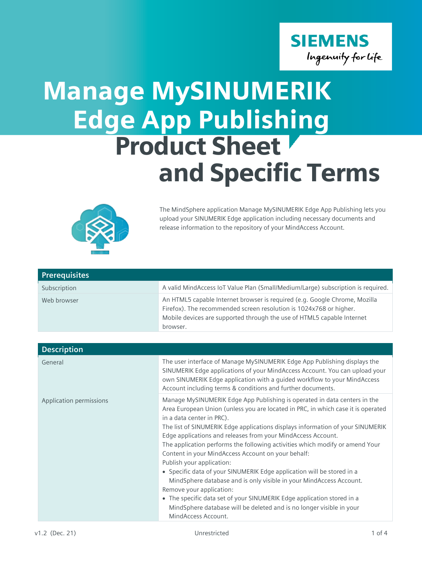

## Edge App Publishing Product Sheet and Specific Terms Manage MySINUMERIK



The MindSphere application Manage MySINUMERIK Edge App Publishing lets you upload your SINUMERIK Edge application including necessary documents and release information to the repository of your MindAccess Account.

| <b>Prerequisites</b> |                                                                                                                                                                                                                                        |
|----------------------|----------------------------------------------------------------------------------------------------------------------------------------------------------------------------------------------------------------------------------------|
| Subscription         | A valid MindAccess IoT Value Plan (Small/Medium/Large) subscription is required.                                                                                                                                                       |
| Web browser          | An HTML5 capable Internet browser is required (e.g. Google Chrome, Mozilla<br>Firefox). The recommended screen resolution is 1024x768 or higher.<br>Mobile devices are supported through the use of HTML5 capable Internet<br>browser. |

| <b>Description</b>      |                                                                                                                                                                                                                                                                                                                                                                                                                                                                                                                                                                                                                                                                                                                                                                                                                                                                       |
|-------------------------|-----------------------------------------------------------------------------------------------------------------------------------------------------------------------------------------------------------------------------------------------------------------------------------------------------------------------------------------------------------------------------------------------------------------------------------------------------------------------------------------------------------------------------------------------------------------------------------------------------------------------------------------------------------------------------------------------------------------------------------------------------------------------------------------------------------------------------------------------------------------------|
| General                 | The user interface of Manage MySINUMERIK Edge App Publishing displays the<br>SINUMERIK Edge applications of your MindAccess Account. You can upload your<br>own SINUMERIK Edge application with a guided workflow to your MindAccess<br>Account including terms & conditions and further documents.                                                                                                                                                                                                                                                                                                                                                                                                                                                                                                                                                                   |
| Application permissions | Manage MySINUMERIK Edge App Publishing is operated in data centers in the<br>Area European Union (unless you are located in PRC, in which case it is operated<br>in a data center in PRC).<br>The list of SINUMERIK Edge applications displays information of your SINUMERIK<br>Edge applications and releases from your MindAccess Account.<br>The application performs the following activities which modify or amend Your<br>Content in your MindAccess Account on your behalf:<br>Publish your application:<br>• Specific data of your SINUMERIK Edge application will be stored in a<br>MindSphere database and is only visible in your MindAccess Account.<br>Remove your application:<br>• The specific data set of your SINUMERIK Edge application stored in a<br>MindSphere database will be deleted and is no longer visible in your<br>MindAccess Account. |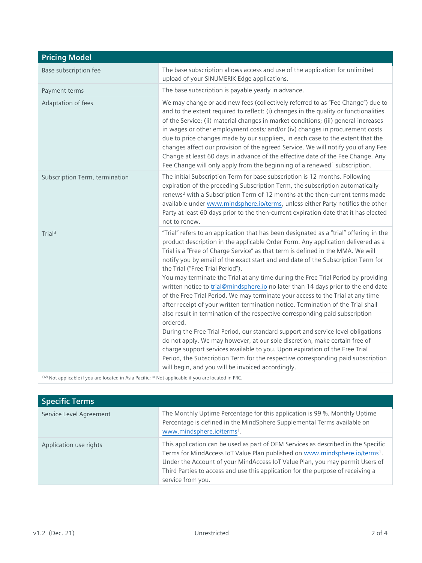| <b>Pricing Model</b>                                                                                            |                                                                                                                                                                                                                                                                                                                                                                                                                                                                                                                                                                                                                                                                                                                                                                                                                                                                                                                                                                                                                                                                                                                                                                                                                              |
|-----------------------------------------------------------------------------------------------------------------|------------------------------------------------------------------------------------------------------------------------------------------------------------------------------------------------------------------------------------------------------------------------------------------------------------------------------------------------------------------------------------------------------------------------------------------------------------------------------------------------------------------------------------------------------------------------------------------------------------------------------------------------------------------------------------------------------------------------------------------------------------------------------------------------------------------------------------------------------------------------------------------------------------------------------------------------------------------------------------------------------------------------------------------------------------------------------------------------------------------------------------------------------------------------------------------------------------------------------|
| Base subscription fee                                                                                           | The base subscription allows access and use of the application for unlimited<br>upload of your SINUMERIK Edge applications.                                                                                                                                                                                                                                                                                                                                                                                                                                                                                                                                                                                                                                                                                                                                                                                                                                                                                                                                                                                                                                                                                                  |
| Payment terms                                                                                                   | The base subscription is payable yearly in advance.                                                                                                                                                                                                                                                                                                                                                                                                                                                                                                                                                                                                                                                                                                                                                                                                                                                                                                                                                                                                                                                                                                                                                                          |
| Adaptation of fees                                                                                              | We may change or add new fees (collectively referred to as "Fee Change") due to<br>and to the extent required to reflect: (i) changes in the quality or functionalities<br>of the Service; (ii) material changes in market conditions; (iii) general increases<br>in wages or other employment costs; and/or (iv) changes in procurement costs<br>due to price changes made by our suppliers, in each case to the extent that the<br>changes affect our provision of the agreed Service. We will notify you of any Fee<br>Change at least 60 days in advance of the effective date of the Fee Change. Any<br>Fee Change will only apply from the beginning of a renewed <sup>1</sup> subscription.                                                                                                                                                                                                                                                                                                                                                                                                                                                                                                                           |
| Subscription Term, termination                                                                                  | The initial Subscription Term for base subscription is 12 months. Following<br>expiration of the preceding Subscription Term, the subscription automatically<br>renews <sup>2</sup> with a Subscription Term of 12 months at the then-current terms made<br>available under www.mindsphere.io/terms, unless either Party notifies the other<br>Party at least 60 days prior to the then-current expiration date that it has elected<br>not to renew.                                                                                                                                                                                                                                                                                                                                                                                                                                                                                                                                                                                                                                                                                                                                                                         |
| Trial <sup>3</sup>                                                                                              | "Trial" refers to an application that has been designated as a "trial" offering in the<br>product description in the applicable Order Form. Any application delivered as a<br>Trial is a "Free of Charge Service" as that term is defined in the MMA. We will<br>notify you by email of the exact start and end date of the Subscription Term for<br>the Trial ("Free Trial Period").<br>You may terminate the Trial at any time during the Free Trial Period by providing<br>written notice to trial@mindsphere.io no later than 14 days prior to the end date<br>of the Free Trial Period. We may terminate your access to the Trial at any time<br>after receipt of your written termination notice. Termination of the Trial shall<br>also result in termination of the respective corresponding paid subscription<br>ordered.<br>During the Free Trial Period, our standard support and service level obligations<br>do not apply. We may however, at our sole discretion, make certain free of<br>charge support services available to you. Upon expiration of the Free Trial<br>Period, the Subscription Term for the respective corresponding paid subscription<br>will begin, and you will be invoiced accordingly. |
| 1)2) Not applicable if you are located in Asia Pacific; <sup>3)</sup> Not applicable if you are located in PRC. |                                                                                                                                                                                                                                                                                                                                                                                                                                                                                                                                                                                                                                                                                                                                                                                                                                                                                                                                                                                                                                                                                                                                                                                                                              |

| <b>Specific Terms</b>   |                                                                                                                                                                                                                                                                                                                                                                      |
|-------------------------|----------------------------------------------------------------------------------------------------------------------------------------------------------------------------------------------------------------------------------------------------------------------------------------------------------------------------------------------------------------------|
| Service Level Agreement | The Monthly Uptime Percentage for this application is 99 %. Monthly Uptime<br>Percentage is defined in the MindSphere Supplemental Terms available on<br>www.mindsphere.io/terms <sup>1</sup> .                                                                                                                                                                      |
| Application use rights  | This application can be used as part of OEM Services as described in the Specific<br>Terms for MindAccess IoT Value Plan published on www.mindsphere.io/terms <sup>1</sup> .<br>Under the Account of your MindAccess IoT Value Plan, you may permit Users of<br>Third Parties to access and use this application for the purpose of receiving a<br>service from you. |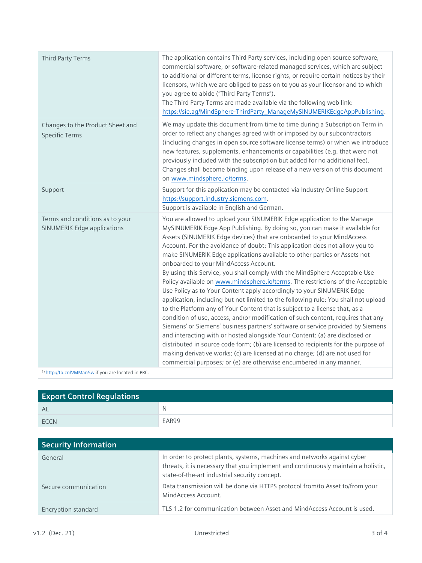| Third Party Terms                                                     | The application contains Third Party services, including open source software,<br>commercial software, or software-related managed services, which are subject<br>to additional or different terms, license rights, or require certain notices by their<br>licensors, which we are obliged to pass on to you as your licensor and to which<br>you agree to abide ("Third Party Terms").<br>The Third Party Terms are made available via the following web link:<br>https://sie.ag/MindSphere-ThirdParty_ManageMySINUMERIKEdgeAppPublishing.                                                                                                                                                                                                                                                                                                                                                                                                                                                                                                                                                                                                                                                                                                                                                                                                             |
|-----------------------------------------------------------------------|---------------------------------------------------------------------------------------------------------------------------------------------------------------------------------------------------------------------------------------------------------------------------------------------------------------------------------------------------------------------------------------------------------------------------------------------------------------------------------------------------------------------------------------------------------------------------------------------------------------------------------------------------------------------------------------------------------------------------------------------------------------------------------------------------------------------------------------------------------------------------------------------------------------------------------------------------------------------------------------------------------------------------------------------------------------------------------------------------------------------------------------------------------------------------------------------------------------------------------------------------------------------------------------------------------------------------------------------------------|
| Changes to the Product Sheet and<br><b>Specific Terms</b>             | We may update this document from time to time during a Subscription Term in<br>order to reflect any changes agreed with or imposed by our subcontractors<br>(including changes in open source software license terms) or when we introduce<br>new features, supplements, enhancements or capabilities (e.g. that were not<br>previously included with the subscription but added for no additional fee).<br>Changes shall become binding upon release of a new version of this document<br>on www.mindsphere.io/terms.                                                                                                                                                                                                                                                                                                                                                                                                                                                                                                                                                                                                                                                                                                                                                                                                                                  |
| Support                                                               | Support for this application may be contacted via Industry Online Support<br>https://support.industry.siemens.com.<br>Support is available in English and German.                                                                                                                                                                                                                                                                                                                                                                                                                                                                                                                                                                                                                                                                                                                                                                                                                                                                                                                                                                                                                                                                                                                                                                                       |
| Terms and conditions as to your<br><b>SINUMERIK Edge applications</b> | You are allowed to upload your SINUMERIK Edge application to the Manage<br>MySINUMERIK Edge App Publishing. By doing so, you can make it available for<br>Assets (SINUMERIK Edge devices) that are onboarded to your MindAccess<br>Account. For the avoidance of doubt: This application does not allow you to<br>make SINUMERIK Edge applications available to other parties or Assets not<br>onboarded to your MindAccess Account.<br>By using this Service, you shall comply with the MindSphere Acceptable Use<br>Policy available on www.mindsphere.io/terms. The restrictions of the Acceptable<br>Use Policy as to Your Content apply accordingly to your SINUMERIK Edge<br>application, including but not limited to the following rule: You shall not upload<br>to the Platform any of Your Content that is subject to a license that, as a<br>condition of use, access, and/or modification of such content, requires that any<br>Siemens' or Siemens' business partners' software or service provided by Siemens<br>and interacting with or hosted alongside Your Content: (a) are disclosed or<br>distributed in source code form; (b) are licensed to recipients for the purpose of<br>making derivative works; (c) are licensed at no charge; (d) are not used for<br>commercial purposes; or (e) are otherwise encumbered in any manner. |
| <sup>1)</sup> http://tb.cn/VMMan5w if you are located in PRC.         |                                                                                                                                                                                                                                                                                                                                                                                                                                                                                                                                                                                                                                                                                                                                                                                                                                                                                                                                                                                                                                                                                                                                                                                                                                                                                                                                                         |

| <b>Export Control Regulations</b> |       |
|-----------------------------------|-------|
| AL                                | N     |
| <b>FCCN</b>                       | EAR99 |

| <b>Security Information</b> |                                                                                                                                                                                                                |
|-----------------------------|----------------------------------------------------------------------------------------------------------------------------------------------------------------------------------------------------------------|
| General                     | In order to protect plants, systems, machines and networks against cyber<br>threats, it is necessary that you implement and continuously maintain a holistic,<br>state-of-the-art industrial security concept. |
| Secure communication        | Data transmission will be done via HTTPS protocol from/to Asset to/from your<br>MindAccess Account.                                                                                                            |
| Encryption standard         | TLS 1.2 for communication between Asset and MindAccess Account is used.                                                                                                                                        |